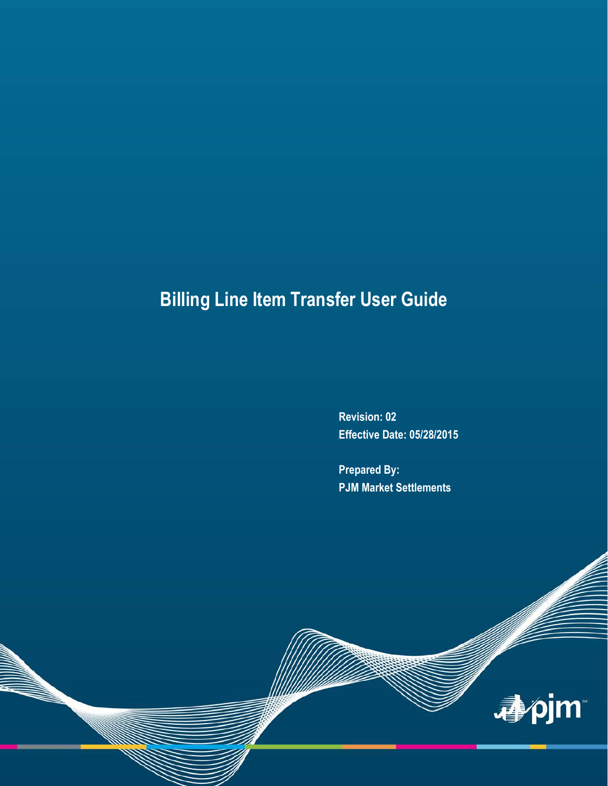# **Billing Line Item Transfer User Guide**

**Revision: 02 Effective Date: 05/28/2015**

**Prepared By: PJM Market Settlements** 

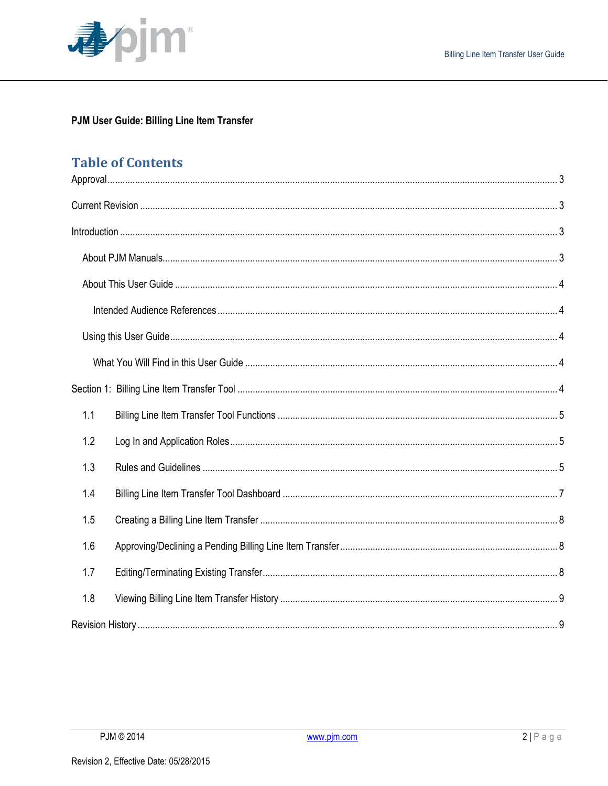

### PJM User Guide: Billing Line Item Transfer

### **Table of Contents**

| 1.1 |  |  |
|-----|--|--|
| 1.2 |  |  |
| 1.3 |  |  |
| 1.4 |  |  |
| 1.5 |  |  |
| 1.6 |  |  |
| 1.7 |  |  |
| 1.8 |  |  |
|     |  |  |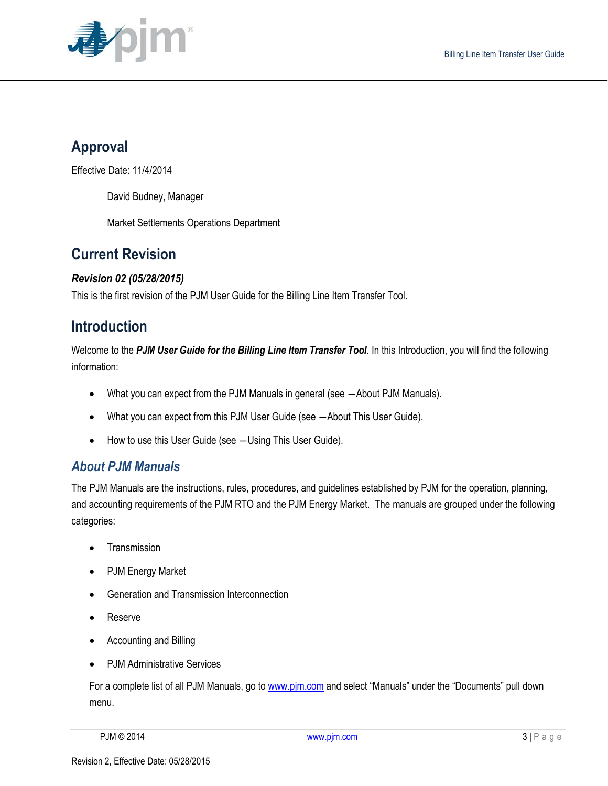

# <span id="page-2-0"></span>**Approval**

Effective Date: 11/4/2014

David Budney, Manager

Market Settlements Operations Department

# <span id="page-2-1"></span>**Current Revision**

#### *Revision 02 (05/28/2015)*

This is the first revision of the PJM User Guide for the Billing Line Item Transfer Tool.

## <span id="page-2-2"></span>**Introduction**

Welcome to the *PJM User Guide for the Billing Line Item Transfer Tool*. In this Introduction, you will find the following information:

- What you can expect from the PJM Manuals in general (see  $-$ About PJM Manuals).
- What you can expect from this PJM User Guide (see -About This User Guide).
- How to use this User Guide (see -Using This User Guide).

### <span id="page-2-3"></span>*About PJM Manuals*

The PJM Manuals are the instructions, rules, procedures, and guidelines established by PJM for the operation, planning, and accounting requirements of the PJM RTO and the PJM Energy Market. The manuals are grouped under the following categories:

- **Transmission**
- PJM Energy Market
- Generation and Transmission Interconnection
- Reserve
- Accounting and Billing
- PJM Administrative Services

For a complete list of all PJM Manuals, go to [www.pjm.com](http://www.pjm.com/) and select "Manuals" under the "Documents" pull down menu.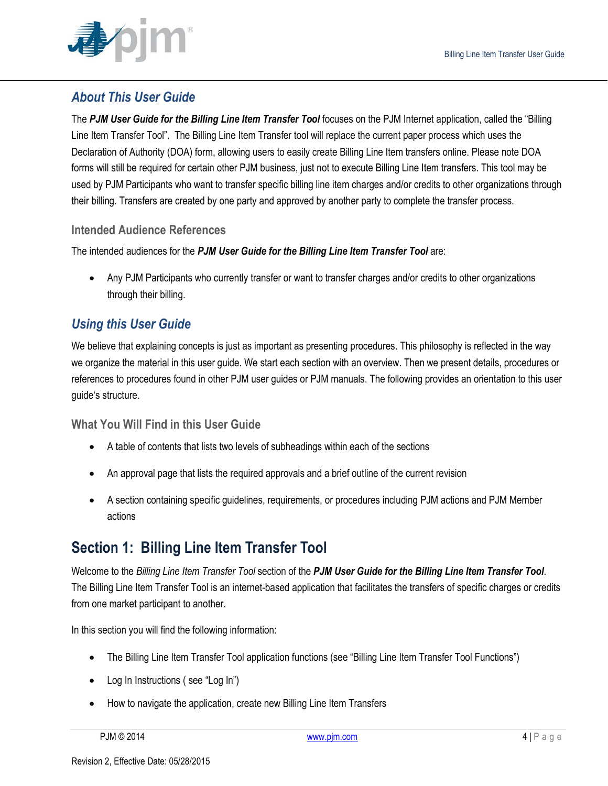

### <span id="page-3-0"></span>*About This User Guide*

The *PJM User Guide for the Billing Line Item Transfer Tool* focuses on the PJM Internet application, called the "Billing Line Item Transfer Tool". The Billing Line Item Transfer tool will replace the current paper process which uses the Declaration of Authority (DOA) form, allowing users to easily create Billing Line Item transfers online. Please note DOA forms will still be required for certain other PJM business, just not to execute Billing Line Item transfers. This tool may be used by PJM Participants who want to transfer specific billing line item charges and/or credits to other organizations through their billing. Transfers are created by one party and approved by another party to complete the transfer process.

#### <span id="page-3-1"></span>**Intended Audience References**

The intended audiences for the *PJM User Guide for the Billing Line Item Transfer Tool* are:

• Any PJM Participants who currently transfer or want to transfer charges and/or credits to other organizations through their billing.

### <span id="page-3-2"></span>*Using this User Guide*

We believe that explaining concepts is just as important as presenting procedures. This philosophy is reflected in the way we organize the material in this user guide. We start each section with an overview. Then we present details, procedures or references to procedures found in other PJM user guides or PJM manuals. The following provides an orientation to this user guide's structure.

#### <span id="page-3-3"></span>**What You Will Find in this User Guide**

- A table of contents that lists two levels of subheadings within each of the sections
- An approval page that lists the required approvals and a brief outline of the current revision
- A section containing specific guidelines, requirements, or procedures including PJM actions and PJM Member actions

## <span id="page-3-4"></span>**Section 1: Billing Line Item Transfer Tool**

Welcome to the *Billing Line Item Transfer Tool* section of the *PJM User Guide for the Billing Line Item Transfer Tool*. The Billing Line Item Transfer Tool is an internet-based application that facilitates the transfers of specific charges or credits from one market participant to another.

In this section you will find the following information:

- The Billing Line Item Transfer Tool application functions (see "Billing Line Item Transfer Tool Functions")
- Log In Instructions ( see "Log In")
- How to navigate the application, create new Billing Line Item Transfers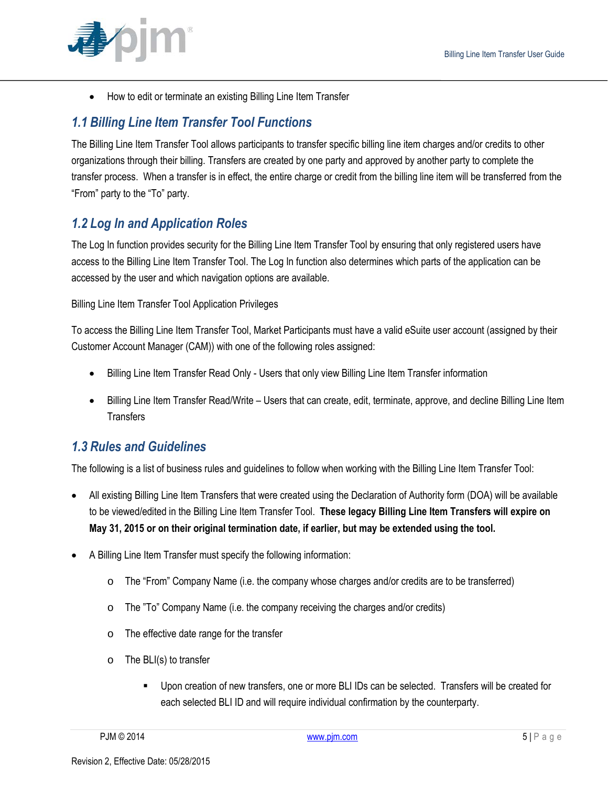

• How to edit or terminate an existing Billing Line Item Transfer

### <span id="page-4-0"></span>*1.1 Billing Line Item Transfer Tool Functions*

The Billing Line Item Transfer Tool allows participants to transfer specific billing line item charges and/or credits to other organizations through their billing. Transfers are created by one party and approved by another party to complete the transfer process. When a transfer is in effect, the entire charge or credit from the billing line item will be transferred from the "From" party to the "To" party.

### <span id="page-4-1"></span>*1.2 Log In and Application Roles*

The Log In function provides security for the Billing Line Item Transfer Tool by ensuring that only registered users have access to the Billing Line Item Transfer Tool. The Log In function also determines which parts of the application can be accessed by the user and which navigation options are available.

Billing Line Item Transfer Tool Application Privileges

To access the Billing Line Item Transfer Tool, Market Participants must have a valid eSuite user account (assigned by their Customer Account Manager (CAM)) with one of the following roles assigned:

- Billing Line Item Transfer Read Only Users that only view Billing Line Item Transfer information
- Billing Line Item Transfer Read/Write Users that can create, edit, terminate, approve, and decline Billing Line Item **Transfers**

#### <span id="page-4-2"></span>*1.3 Rules and Guidelines*

The following is a list of business rules and guidelines to follow when working with the Billing Line Item Transfer Tool:

- All existing Billing Line Item Transfers that were created using the Declaration of Authority form (DOA) will be available to be viewed/edited in the Billing Line Item Transfer Tool. **These legacy Billing Line Item Transfers will expire on May 31, 2015 or on their original termination date, if earlier, but may be extended using the tool.**
- A Billing Line Item Transfer must specify the following information:
	- $\circ$  The "From" Company Name (i.e. the company whose charges and/or credits are to be transferred)
	- o The "To" Company Name (i.e. the company receiving the charges and/or credits)
	- o The effective date range for the transfer
	- o The BLI(s) to transfer
		- Upon creation of new transfers, one or more BLI IDs can be selected. Transfers will be created for each selected BLI ID and will require individual confirmation by the counterparty.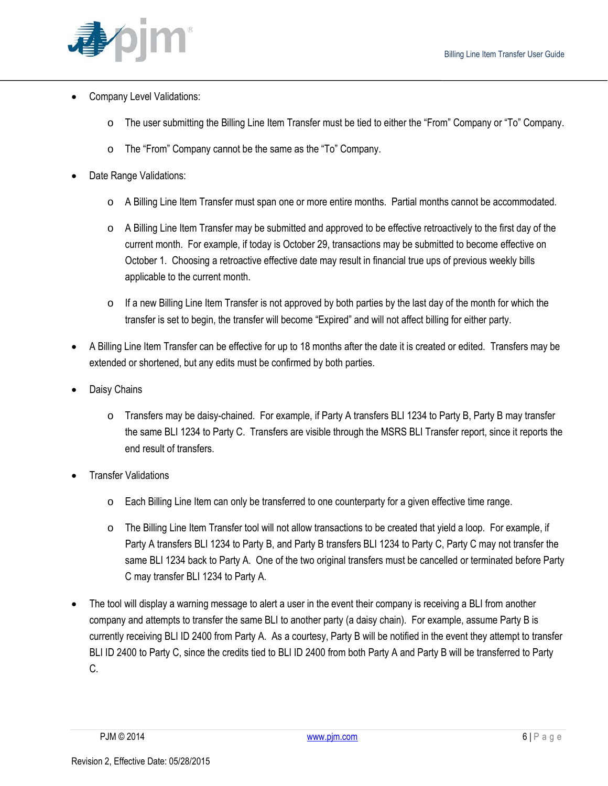

- Company Level Validations:
	- $\circ$  The user submitting the Billing Line Item Transfer must be tied to either the "From" Company or "To" Company.
	- o The "From" Company cannot be the same as the "To" Company.
- Date Range Validations:
	- o A Billing Line Item Transfer must span one or more entire months. Partial months cannot be accommodated.
	- o A Billing Line Item Transfer may be submitted and approved to be effective retroactively to the first day of the current month. For example, if today is October 29, transactions may be submitted to become effective on October 1. Choosing a retroactive effective date may result in financial true ups of previous weekly bills applicable to the current month.
	- $\circ$  If a new Billing Line Item Transfer is not approved by both parties by the last day of the month for which the transfer is set to begin, the transfer will become "Expired" and will not affect billing for either party.
- A Billing Line Item Transfer can be effective for up to 18 months after the date it is created or edited. Transfers may be extended or shortened, but any edits must be confirmed by both parties.
- Daisy Chains
	- o Transfers may be daisy-chained. For example, if Party A transfers BLI 1234 to Party B, Party B may transfer the same BLI 1234 to Party C. Transfers are visible through the MSRS BLI Transfer report, since it reports the end result of transfers.
- **Transfer Validations** 
	- o Each Billing Line Item can only be transferred to one counterparty for a given effective time range.
	- o The Billing Line Item Transfer tool will not allow transactions to be created that yield a loop. For example, if Party A transfers BLI 1234 to Party B, and Party B transfers BLI 1234 to Party C, Party C may not transfer the same BLI 1234 back to Party A. One of the two original transfers must be cancelled or terminated before Party C may transfer BLI 1234 to Party A.
- The tool will display a warning message to alert a user in the event their company is receiving a BLI from another company and attempts to transfer the same BLI to another party (a daisy chain). For example, assume Party B is currently receiving BLI ID 2400 from Party A. As a courtesy, Party B will be notified in the event they attempt to transfer BLI ID 2400 to Party C, since the credits tied to BLI ID 2400 from both Party A and Party B will be transferred to Party C.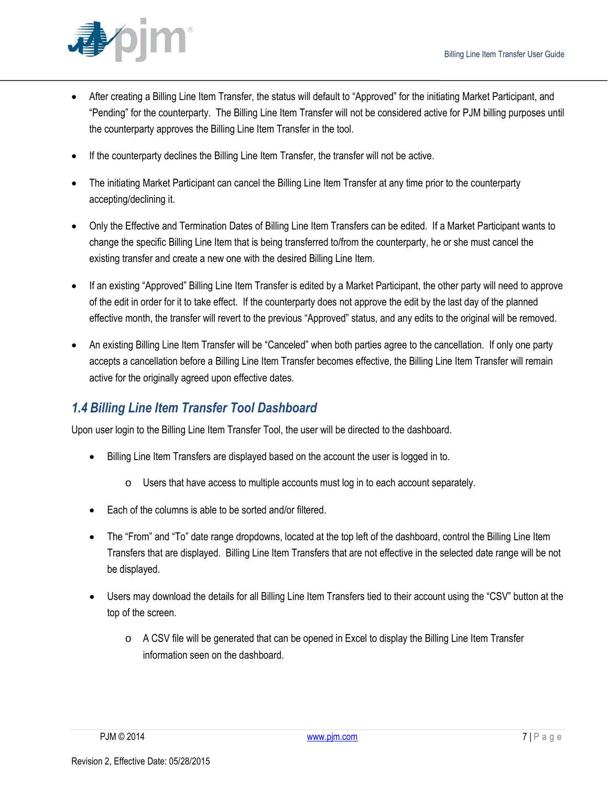

- After creating a Billing Line Item Transfer, the status will default to "Approved" for the initiating Market Participant, and "Pending" for the counterparty. The Billing Line Item Transfer will not be considered active for PJM billing purposes until the counterparty approves the Billing Line Item Transfer in the tool.
- If the counterparty declines the Billing Line Item Transfer, the transfer will not be active.
- The initiating Market Participant can cancel the Billing Line Item Transfer at any time prior to the counterparty accepting/declining it.
- Only the Effective and Termination Dates of Billing Line Item Transfers can be edited. If a Market Participant wants to change the specific Billing Line Item that is being transferred to/from the counterparty, he or she must cancel the existing transfer and create a new one with the desired Billing Line Item.
- If an existing "Approved" Billing Line Item Transfer is edited by a Market Participant, the other party will need to approve of the edit in order for it to take effect. If the counterparty does not approve the edit by the last day of the planned effective month, the transfer will revert to the previous "Approved" status, and any edits to the original will be removed.
- An existing Billing Line Item Transfer will be "Canceled" when both parties agree to the cancellation. If only one party accepts a cancellation before a Billing Line Item Transfer becomes effective, the Billing Line Item Transfer will remain active for the originally agreed upon effective dates.

### <span id="page-6-0"></span>*1.4 Billing Line Item Transfer Tool Dashboard*

Upon user login to the Billing Line Item Transfer Tool, the user will be directed to the dashboard.

- Billing Line Item Transfers are displayed based on the account the user is logged in to.
	- o Users that have access to multiple accounts must log in to each account separately.
- Each of the columns is able to be sorted and/or filtered.
- The "From" and "To" date range dropdowns, located at the top left of the dashboard, control the Billing Line Item Transfers that are displayed. Billing Line Item Transfers that are not effective in the selected date range will be not be displayed.
- Users may download the details for all Billing Line Item Transfers tied to their account using the "CSV" button at the top of the screen.
	- $\circ$  A CSV file will be generated that can be opened in Excel to display the Billing Line Item Transfer information seen on the dashboard.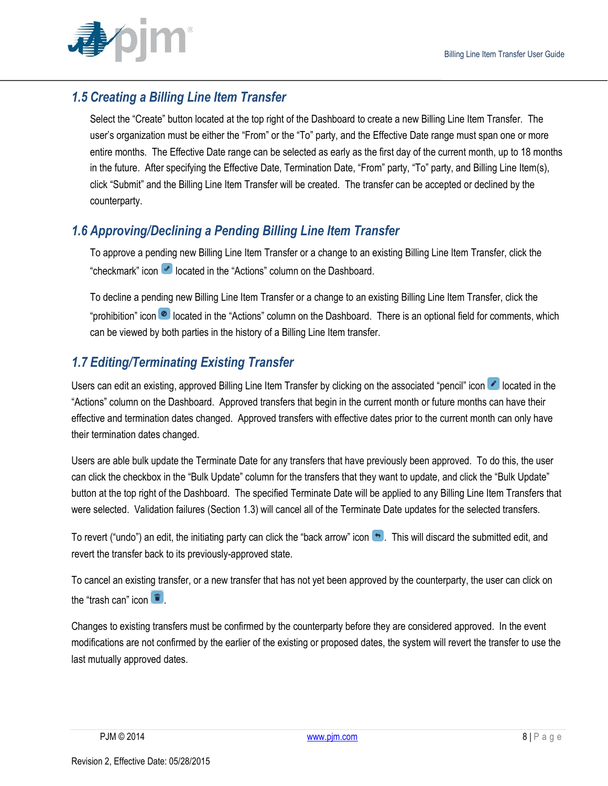

### <span id="page-7-0"></span>*1.5 Creating a Billing Line Item Transfer*

Select the "Create" button located at the top right of the Dashboard to create a new Billing Line Item Transfer. The user's organization must be either the "From" or the "To" party, and the Effective Date range must span one or more entire months. The Effective Date range can be selected as early as the first day of the current month, up to 18 months in the future. After specifying the Effective Date, Termination Date, "From" party, "To" party, and Billing Line Item(s), click "Submit" and the Billing Line Item Transfer will be created. The transfer can be accepted or declined by the counterparty.

### <span id="page-7-1"></span>*1.6 Approving/Declining a Pending Billing Line Item Transfer*

To approve a pending new Billing Line Item Transfer or a change to an existing Billing Line Item Transfer, click the "checkmark" icon **U** located in the "Actions" column on the Dashboard.

To decline a pending new Billing Line Item Transfer or a change to an existing Billing Line Item Transfer, click the "prohibition" icon **O** located in the "Actions" column on the Dashboard. There is an optional field for comments, which can be viewed by both parties in the history of a Billing Line Item transfer.

### <span id="page-7-2"></span>*1.7 Editing/Terminating Existing Transfer*

Users can edit an existing, approved Billing Line Item Transfer by clicking on the associated "pencil" icon **dell**ocated in the "Actions" column on the Dashboard. Approved transfers that begin in the current month or future months can have their effective and termination dates changed. Approved transfers with effective dates prior to the current month can only have their termination dates changed.

Users are able bulk update the Terminate Date for any transfers that have previously been approved. To do this, the user can click the checkbox in the "Bulk Update" column for the transfers that they want to update, and click the "Bulk Update" button at the top right of the Dashboard. The specified Terminate Date will be applied to any Billing Line Item Transfers that were selected. Validation failures (Section 1.3) will cancel all of the Terminate Date updates for the selected transfers.

To revert ("undo") an edit, the initiating party can click the "back arrow" icon  $\bullet$ . This will discard the submitted edit, and revert the transfer back to its previously-approved state.

To cancel an existing transfer, or a new transfer that has not yet been approved by the counterparty, the user can click on the "trash can" icon  $\Box$ .

Changes to existing transfers must be confirmed by the counterparty before they are considered approved. In the event modifications are not confirmed by the earlier of the existing or proposed dates, the system will revert the transfer to use the last mutually approved dates.